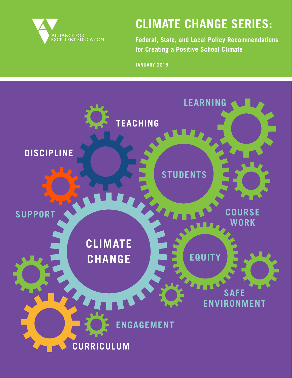

# **CLIMATE CHANGE SERIES:**

**Federal, State, and Local Policy Recommendations for Creating a Positive School Climate**

**JANUARY 2015**

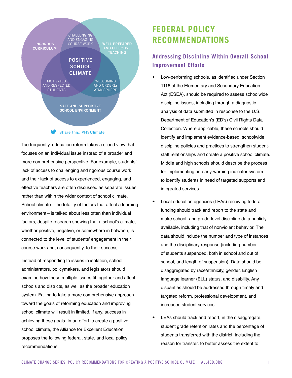

Too frequently, education reform takes a siloed view that focuses on an individual issue instead of a broader and more comprehensive perspective. For example, students' lack of access to challenging and rigorous course work and their lack of access to experienced, engaging, and effective teachers are often discussed as separate issues rather than within the wider context of school climate. School climate—the totality of factors that affect a learning environment—is talked about less often than individual factors, despite research showing that a school's climate, whether positive, negative, or somewhere in between, is connected to the level of students' engagement in their course work and, consequently, to their success.

Instead of responding to issues in isolation, school administrators, policymakers, and legislators should examine how these multiple issues fit together and affect schools and districts, as well as the broader education system. Failing to take a more comprehensive approach toward the goals of reforming education and improving school climate will result in limited, if any, success in achieving these goals. In an effort to create a positive school climate, the Alliance for Excellent Education proposes the following federal, state, and local policy recommendations.

# **FEDERAL POLICY RECOMMENDATIONS**

### **Addressing Discipline Within Overall School Improvement Efforts**

- Low-performing schools, as identified under Section 1116 of the Elementary and Secondary Education Act (ESEA), should be required to assess schoolwide discipline issues, including through a diagnostic analysis of data submitted in response to the U.S. Department of Education's (ED's) Civil Rights Data Collection. Where applicable, these schools should identify and implement evidence-based, schoolwide discipline policies and practices to strengthen studentstaff relationships and create a positive school climate. Middle and high schools should describe the process for implementing an early-warning indicator system to identify students in need of targeted supports and integrated services.
- Local education agencies (LEAs) receiving federal funding should track and report to the state and make school- and grade-level discipline data publicly available, including that of nonviolent behavior. The data should include the number and type of instances and the disciplinary response (including number of students suspended, both in school and out of school, and length of suspension). Data should be disaggregated by race/ethnicity, gender, English language learner (ELL) status, and disability. Any disparities should be addressed through timely and targeted reform, professional development, and increased student services.
- LEAs should track and report, in the disaggregate, student grade retention rates and the percentage of students transferred with the district, including the reason for transfer, to better assess the extent to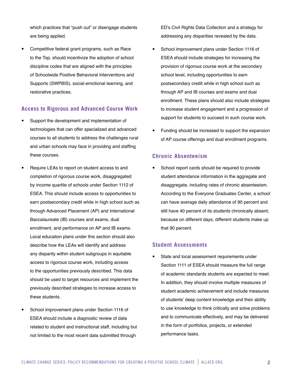which practices that "push out" or disengage students are being applied.

Competitive federal grant programs, such as Race to the Top, should incentivize the adoption of school discipline codes that are aligned with the principles of Schoolwide Positive Behavioral Interventions and Supports (SWPBIS), social-emotional learning, and restorative practices.

#### **Access to Rigorous and Advanced Course Work**

- Support the development and implementation of technologies that can offer specialized and advanced courses to all students to address the challenges rural and urban schools may face in providing and staffing these courses.
- Require LEAs to report on student access to and completion of rigorous course work, disaggregated by income quartile of schools under Section 1112 of ESEA. This should include access to opportunities to earn postsecondary credit while in high school such as through Advanced Placement (AP) and International Baccalaureate (IB) courses and exams, dual enrollment, and performance on AP and IB exams. Local education plans under this section should also describe how the LEAs will identify and address any disparity within student subgroups in equitable access to rigorous course work, including access to the opportunities previously described. This data should be used to target resources and implement the previously described strategies to increase access to these students.
- School improvement plans under Section 1116 of ESEA should include a diagnostic review of data related to student and instructional staff, including but not limited to the most recent data submitted through

ED's Civil Rights Data Collection and a strategy for addressing any disparities revealed by the data.

- School improvement plans under Section 1116 of ESEA should include strategies for increasing the provision of rigorous course work at the secondary school level, including opportunities to earn postsecondary credit while in high school such as through AP and IB courses and exams and dual enrollment. These plans should also include strategies to increase student engagement and a progression of support for students to succeed in such course work.
- Funding should be increased to support the expansion of AP course offerings and dual enrollment programs.

#### **Chronic Absenteeism**

School report cards should be required to provide student attendance information in the aggregate and disaggregate, including rates of chronic absenteeism. According to the Everyone Graduates Center, a school can have average daily attendance of 90 percent and still have 40 percent of its students chronically absent, because on different days, different students make up that 90 percent.

#### **Student Assessments**

State and local assessment requirements under Section 1111 of ESEA should measure the full range of academic standards students are expected to meet. In addition, they should involve multiple measures of student academic achievement and include measures of students' deep content knowledge and their ability to use knowledge to think critically and solve problems and to communicate effectively, and may be delivered in the form of portfolios, projects, or extended performance tasks.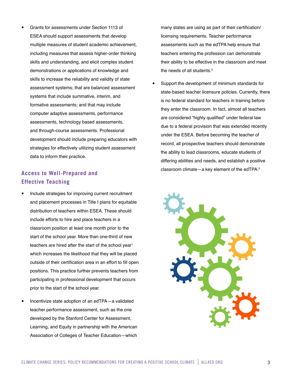y Grants for assessments under Section 1113 of ESEA should support assessments that develop multiple measures of student academic achievement, including measures that assess higher-order thinking skills and understanding, and elicit complex student demonstrations or applications of knowledge and skills to increase the reliability and validity of state assessment systems; that are balanced assessment systems that include summative, interim, and formative assessments; and that may include computer adaptive assessments, performance assessments, technology based assessments, and through-course assessments. Professional development should include preparing educators with strategies for effectively utilizing student assessment data to inform their practice.

### **Access to Well-Prepared and Effective Teaching**

- Include strategies for improving current recruitment and placement processes in Title I plans for equitable distribution of teachers within ESEA. These should include efforts to hire and place teachers in a classroom position at least one month prior to the start of the school year. More than one-third of new teachers are hired after the start of the school year<sup>1</sup> which increases the likelihood that they will be placed outside of their certification area in an effort to fill open positions. This practice further prevents teachers from participating in professional development that occurs prior to the start of the school year.
- Incentivize state adoption of an edTPA-a validated teacher performance assessment, such as the one developed by the Stanford Center for Assessment, Learning, and Equity in partnership with the American Association of Colleges of Teacher Education—which

many states are using as part of their certification/ licensing requirements. Teacher performance assessments such as the edTPA help ensure that teachers entering the profession can demonstrate their ability to be effective in the classroom and meet the needs of all students.<sup>2</sup>

Support the development of minimum standards for state-based teacher licensure policies. Currently, there is no federal standard for teachers in training before they enter the classroom. In fact, almost all teachers are considered "highly qualified" under federal law due to a federal provision that was extended recently under the ESEA. Before becoming the teacher of record, all prospective teachers should demonstrate the ability to lead classrooms, educate students of differing abilities and needs, and establish a positive classroom climate—a key element of the edTPA.3

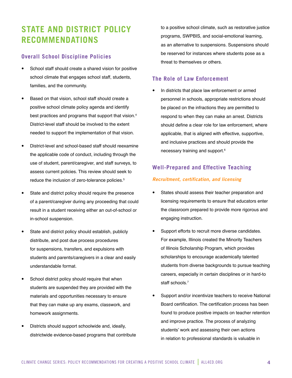# **STATE AND DISTRICT POLICY RECOMMENDATIONS**

#### **Overall School Discipline Policies**

- School staff should create a shared vision for positive school climate that engages school staff, students, families, and the community.
- Based on that vision, school staff should create a positive school climate policy agenda and identify best practices and programs that support that vision.<sup>4</sup> District-level staff should be involved to the extent needed to support the implementation of that vision.
- District-level and school-based staff should reexamine the applicable code of conduct, including through the use of student, parent/caregiver, and staff surveys, to assess current policies. This review should seek to reduce the inclusion of zero-tolerance policies.<sup>5</sup>
- State and district policy should require the presence of a parent/caregiver during any proceeding that could result in a student receiving either an out-of-school or in-school suspension.
- State and district policy should establish, publicly distribute, and post due process procedures for suspensions, transfers, and expulsions with students and parents/caregivers in a clear and easily understandable format.
- School district policy should require that when students are suspended they are provided with the materials and opportunities necessary to ensure that they can make up any exams, classwork, and homework assignments.
- Districts should support schoolwide and, ideally, districtwide evidence-based programs that contribute

to a positive school climate, such as restorative justice programs, SWPBIS, and social-emotional learning, as an alternative to suspensions. Suspensions should be reserved for instances where students pose as a threat to themselves or others.

#### **The Role of Law Enforcement**

In districts that place law enforcement or armed personnel in schools, appropriate restrictions should be placed on the infractions they are permitted to respond to when they can make an arrest. Districts should define a clear role for law enforcement, where applicable, that is aligned with effective, supportive, and inclusive practices and should provide the necessary training and support.6

### **Well-Prepared and Effective Teaching**

#### *Recruitment, certification, and licensing*

- States should assess their teacher preparation and licensing requirements to ensure that educators enter the classroom prepared to provide more rigorous and engaging instruction.
- Support efforts to recruit more diverse candidates. For example, Illinois created the Minority Teachers of Illinois Scholarship Program, which provides scholarships to encourage academically talented students from diverse backgrounds to pursue teaching careers, especially in certain disciplines or in hard-to staff schools.<sup>7</sup>
- Support and/or incentivize teachers to receive National Board certification. The certification process has been found to produce positive impacts on teacher retention and improve practice. The process of analyzing students' work and assessing their own actions in relation to professional standards is valuable in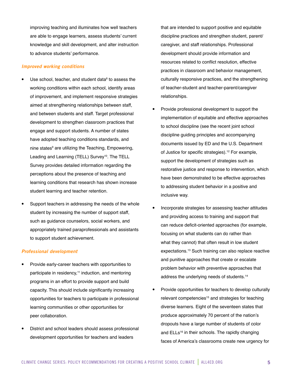improving teaching and illuminates how well teachers are able to engage learners, assess students' current knowledge and skill development, and alter instruction to advance students' performance.

#### *Improved working conditions*

- $\bullet$  Use school, teacher, and student data<sup>8</sup> to assess the working conditions within each school, identify areas of improvement, and implement responsive strategies aimed at strengthening relationships between staff, and between students and staff. Target professional development to strengthen classroom practices that engage and support students. A number of states have adopted teaching conditions standards, and nine states<sup>9</sup> are utilizing the Teaching, Empowering, Leading and Learning (TELL) Survey<sup>10</sup>. The TELL Survey provides detailed information regarding the perceptions about the presence of teaching and learning conditions that research has shown increase student learning and teacher retention.
- Support teachers in addressing the needs of the whole student by increasing the number of support staff, such as guidance counselors, social workers, and appropriately trained paraprofessionals and assistants to support student achievement.

#### *Professional development*

- Provide early-career teachers with opportunities to participate in residency,<sup>11</sup> induction, and mentoring programs in an effort to provide support and build capacity. This should include significantly increasing opportunities for teachers to participate in professional learning communities or other opportunities for peer collaboration.
- District and school leaders should assess professional development opportunities for teachers and leaders

that are intended to support positive and equitable discipline practices and strengthen student, parent/ caregiver, and staff relationships. Professional development should provide information and resources related to conflict resolution, effective practices in classroom and behavior management, culturally responsive practices, and the strengthening of teacher-student and teacher-parent/caregiver relationships.

- Provide professional development to support the implementation of equitable and effective approaches to school discipline (see the recent joint school discipline guiding principles and accompanying documents issued by ED and the U.S. Department of Justice for specific strategies).<sup>12</sup> For example, support the development of strategies such as restorative justice and response to intervention, which have been demonstrated to be effective approaches to addressing student behavior in a positive and inclusive way.
- Incorporate strategies for assessing teacher attitudes and providing access to training and support that can reduce deficit-oriented approaches (for example, focusing on what students can do rather than what they cannot) that often result in low student expectations.13 Such training can also replace reactive and punitive approaches that create or escalate problem behavior with preventive approaches that address the underlying needs of students.14
- Provide opportunities for teachers to develop culturally relevant competencies<sup>15</sup> and strategies for teaching diverse learners. Eight of the seventeen states that produce approximately 70 percent of the nation's dropouts have a large number of students of color and ELLs<sup>16</sup> in their schools. The rapidly changing faces of America's classrooms create new urgency for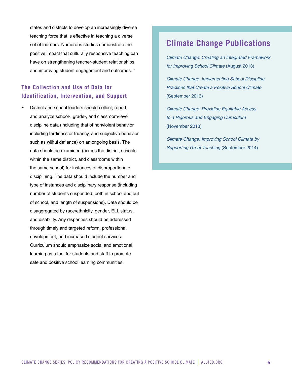states and districts to develop an increasingly diverse teaching force that is effective in teaching a diverse set of learners. Numerous studies demonstrate the positive impact that culturally responsive teaching can have on strengthening teacher-student relationships and improving student engagement and outcomes.<sup>17</sup>

### **The Collection and Use of Data for Identification, Intervention, and Support**

District and school leaders should collect, report, and analyze school-, grade-, and classroom-level discipline data (including that of nonviolent behavior including tardiness or truancy, and subjective behavior such as willful defiance) on an ongoing basis. The data should be examined (across the district, schools within the same district, and classrooms within the same school) for instances of disproportionate disciplining. The data should include the number and type of instances and disciplinary response (including number of students suspended, both in school and out of school, and length of suspensions). Data should be disaggregated by race/ethnicity, gender, ELL status, and disability. Any disparities should be addressed through timely and targeted reform, professional development, and increased student services. Curriculum should emphasize social and emotional learning as a tool for students and staff to promote safe and positive school learning communities.

## **Climate Change Publications**

*[Climate Change: Creating an Integrated Framework](http://all4ed.org/reports-factsheets/climatechange1/)  [for Improving School Climate](http://all4ed.org/reports-factsheets/climatechange1/)* (August 2013)

*[Climate Change: Implementing School Discipline](http://all4ed.org/reports-factsheets/climatechange2/)  [Practices that Create a Positive School Climate](http://all4ed.org/reports-factsheets/climatechange2/)* (September 2013)

*[Climate Change: Providing Equitable Access](http://all4ed.org/reports-factsheets/climatechange3/)  [to a Rigorous and Engaging Curriculum](http://all4ed.org/reports-factsheets/climatechange3/)* (November 2013)

*[Climate Change: Improving School Climate by](http://all4ed.org/reports-factsheets/climatechange4/)  [Supporting Great Teaching](http://all4ed.org/reports-factsheets/climatechange4/)* (September 2014)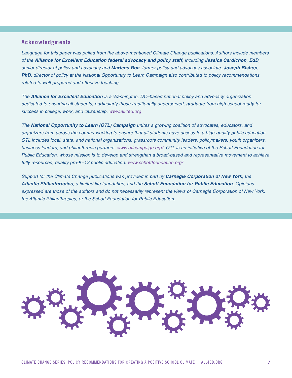#### **Acknowledgments**

*Language for this paper was pulled from the above-mentioned Climate Change publications. Authors include members of the Alliance for Excellent Education federal advocacy and policy staff, including Jessica Cardichon, EdD, senior director of policy and advocacy and Martens Roc, former policy and advocacy associate. Joseph Bishop, PhD, director of policy at the National Opportunity to Learn Campaign also contributed to policy recommendations related to well-prepared and effective teaching.*

*The Alliance for Excellent Education is a Washington, DC–based national policy and advocacy organization dedicated to ensuring all students, particularly those traditionally underserved, graduate from high school ready for success in college, work, and citizenship. www.all4ed.org*

*The National Opportunity to Learn (OTL) Campaign unites a growing coalition of advocates, educators, and organizers from across the country working to ensure that all students have access to a high-quality public education. OTL includes local, state, and national organizations, grassroots community leaders, policymakers, youth organizers, business leaders, and philanthropic partners. www.otlcampaign.org/. OTL is an initiative of the Schott Foundation for Public Education, whose mission is to develop and strengthen a broad-based and representative movement to achieve fully resourced, quality pre-K–12 public education. www.schottfoundation.org/*

*Support for the Climate Change publications was provided in part by Carnegie Corporation of New York, the Atlantic Philanthropies, a limited life foundation, and the Schott Foundation for Public Education. Opinions expressed are those of the authors and do not necessarily represent the views of Carnegie Corporation of New York, the Atlantic Philanthropies, or the Schott Foundation for Public Education.*

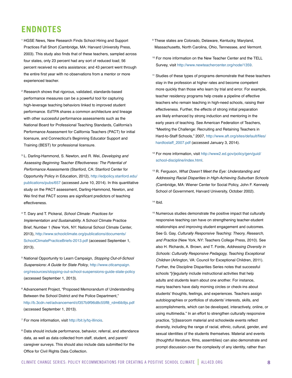# **ENDNOTES**

- <sup>1</sup> HGSE News, New Research Finds School Hiring and Support Practices Fall Short (Cambridge, MA: Harvard University Press, 2003). This study also finds that of these teachers, sampled across four states, only 23 percent had any sort of reduced load; 56 percent received no extra assistance; and 43 percent went through the entire first year with no observations from a mentor or more experienced teacher.
- <sup>2</sup> Research shows that rigorous, validated, standards-based performance measures can be a powerful tool for capturing high-leverage teaching behaviors linked to improved student performance. EdTPA shares a common architecture and lineage with other successful performance assessments such as the National Board for Professional Teaching Standards, California's Performance Assessment for California Teachers (PACT) for initial licensure, and Connecticut's Beginning Educator Support and Training (BEST) for professional licensure.
- <sup>3</sup> L. Darling-Hammond, S. Newton, and R. Wei, *Developing and Assessing Beginning Teacher Effectiveness: The Potential of Performance Assessments* (Stanford, CA: Stanford Center for Opportunity Policy in Education, 2012), [http://edpolicy.stanford.edu/](http://edpolicy.stanford.edu/publications/pubs/657) [publications/pubs/657](http://edpolicy.stanford.edu/publications/pubs/657) (accessed June 10, 2014). In this quantitative study on the PACT assessment, Darling-Hammond, Newton, and Wei find that PACT scores are significant predictors of teaching effectiveness.
- <sup>4</sup> T. Dary and T. Pickeral, *School Climate: Practices for Implementation and Sustainability*. A School Climate Practice Brief, Number 1 (New York, NY: National School Climate Center, 2013), [http://www.schoolclimate.org/publications/documents/](http://www.schoolclimate.org/publications/documents/SchoolClimatePracticeBriefs-2013.pdf) [SchoolClimatePracticeBriefs-2013.pdf](http://www.schoolclimate.org/publications/documents/SchoolClimatePracticeBriefs-2013.pdf) (accessed September 1, 2013).
- <sup>5</sup> National Opportunity to Learn Campaign, *Stopping Out-of-School Suspensions: A Guide for State Policy*, [http://www.otlcampaign.](http://www.otlcampaign.org/resources/stopping-out-school-suspensions-guide-state-policy) [org/resources/stopping-out-school-suspensions-guide-state-policy](http://www.otlcampaign.org/resources/stopping-out-school-suspensions-guide-state-policy) (accessed September 1, 2013).
- <sup>6</sup> Advancement Project, "Proposed Memorandum of Understanding Between the School District and the Police Department," [http://b.3cdn.net/advancement/cf357b9f96d8c55ff8\\_rdm6ib9js.pdf](http://b.3cdn.net/advancement/cf357b9f96d8c55ff8_rdm6ib9js.pdf) (accessed September 1, 2013).
- <sup>7</sup> For more information, visit <http://bit.ly/tq-illinois>.
- <sup>8</sup> Data should include performance, behavior, referral, and attendance data, as well as data collected from staff, student, and parent/ caregiver surveys. This should also include data submitted for the Office for Civil Rights Data Collection.
- <sup>9</sup> These states are Colorado, Delaware, Kentucky, Maryland, Massachusetts, North Carolina, Ohio, Tennessee, and Vermont.
- <sup>10</sup> For more information on the New Teacher Center and the TELL Survey, visit <http://www.newteachercenter.org/node/1359>.
- <sup>11</sup> Studies of these types of programs demonstrate that these teachers stay in the profession at higher rates and become competent more quickly than those who learn by trial and error. For example, teacher residency programs help create a pipeline of effective teachers who remain teaching in high-need schools, raising their effectiveness. Further, the effects of strong initial preparation are likely enhanced by strong induction and mentoring in the early years of teaching. See American Federation of Teachers, "Meeting the Challenge: Recruiting and Retaining Teachers in Hard-to-Staff Schools," 2007, [http://www.aft.org/sites/default/files/](http://www.aft.org/sites/default/files/hardtostaff_2007.pdf) [hardtostaff\\_2007.pdf](http://www.aft.org/sites/default/files/hardtostaff_2007.pdf) (accessed January 3, 2014).
- <sup>12</sup> For more information, visit [http://www2.ed.gov/policy/gen/guid/](http://www2.ed.gov/policy/gen/guid/school-discipline/index.html) [school-discipline/index.html](http://www2.ed.gov/policy/gen/guid/school-discipline/index.html).
- <sup>13</sup> R. Ferguson, What Doesn't Meet the Eye: Understanding and *Addressing Racial Disparities in High-Achieving Suburban Schools* (Cambridge, MA: Wiener Center for Social Policy, John F. Kennedy School of Government, Harvard University, October 2002).
- 14 Ibid.
- <sup>15</sup> Numerous studies demonstrate the positive impact that culturally responsive teaching can have on strengthening teacher-student relationships and improving student engagement and outcomes. See G. Gay, *Culturally Responsive Teaching: Theory, Research, and Practice* (New York, NY: Teachers College Press, 2010). See also H. Richards, A. Brown, and T. Forde, *Addressing Diversity in Schools: Culturally Responsive Pedagogy, Teaching Exceptional Children* (Arlington, VA: Council for Exceptional Children, 2011). Further, the Discipline Disparities Series notes that successful schools "[r]egularly include instructional activities that help adults and students learn about one another. For instance, many teachers have daily morning circles or check-ins about students' thoughts, feelings, and experiences. Teachers assign autobiographies or portfolios of students' interests, skills, and accomplishments, which can be developed, interactively, online, or using multimedia." In an effort to strengthen culturally responsive practice, "[c]lassroom material and schoolwide events reflect diversity, including the range of racial, ethnic, cultural, gender, and sexual identities of the students themselves. Material and events (thoughtful literature, films, assemblies) can also demonstrate and prompt discussion over the complexity of any identity, rather than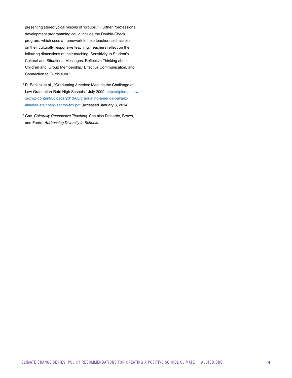presenting stereotypical visions of 'groups.'" Further, "professional development programming could include the Double-Check program, which uses a framework to help teachers self-assess on their culturally responsive teaching. Teachers reflect on the following dimensions of their teaching: Sensitivity to Student's Cultural and Situational Messages, Reflective Thinking about Children and 'Group Membership,' Effective Communication, and Connection to Curriculum."

- <sup>16</sup> R. Balfanz et al., "Graduating America: Meeting the Challenge of Low Graduation-Rate High Schools," July 2009, [http://diplomasnow.](http://diplomasnow.org/wp-content/uploads/2013/06/graduating-america-balfanz-almeida-steinberg-santos-fox.pdf) [org/wp-content/uploads/2013/06/graduating-america-balfanz](http://diplomasnow.org/wp-content/uploads/2013/06/graduating-america-balfanz-almeida-steinberg-santos-fox.pdf)[almeida-steinberg-santos-fox.pdf](http://diplomasnow.org/wp-content/uploads/2013/06/graduating-america-balfanz-almeida-steinberg-santos-fox.pdf) (accessed January 3, 2014).
- <sup>17</sup> Gay, *Culturally Responsive Teaching*. See also Richards, Brown, and Forde, *Addressing Diversity in Schools*.